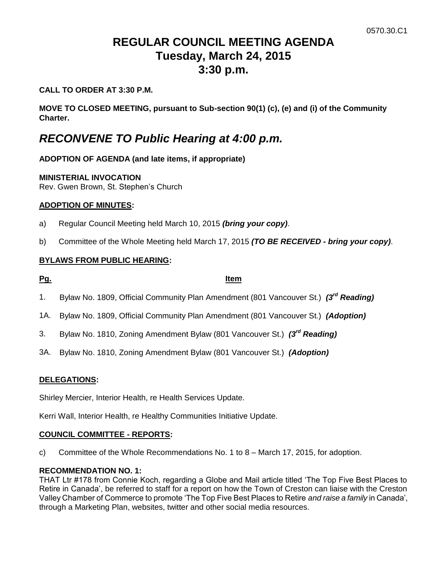# **REGULAR COUNCIL MEETING AGENDA Tuesday, March 24, 2015 3:30 p.m.**

# **CALL TO ORDER AT 3:30 P.M.**

**MOVE TO CLOSED MEETING, pursuant to Sub-section 90(1) (c), (e) and (i) of the Community Charter.**

# *RECONVENE TO Public Hearing at 4:00 p.m.*

# **ADOPTION OF AGENDA (and late items, if appropriate)**

## **MINISTERIAL INVOCATION**

Rev. Gwen Brown, St. Stephen's Church

# **ADOPTION OF MINUTES:**

- a) Regular Council Meeting held March 10, 2015 *(bring your copy)*.
- b) Committee of the Whole Meeting held March 17, 2015 *(TO BE RECEIVED - bring your copy)*.

# **BYLAWS FROM PUBLIC HEARING:**

# **Pg. Item**

- 1. Bylaw No. 1809, Official Community Plan Amendment (801 Vancouver St.) *(3rd Reading)*
- 1A. Bylaw No. 1809, Official Community Plan Amendment (801 Vancouver St.) *(Adoption)*
- 3. Bylaw No. 1810, Zoning Amendment Bylaw (801 Vancouver St.) *(3rd Reading)*
- 3A. Bylaw No. 1810, Zoning Amendment Bylaw (801 Vancouver St.) *(Adoption)*

# **DELEGATIONS:**

Shirley Mercier, Interior Health, re Health Services Update.

Kerri Wall, Interior Health, re Healthy Communities Initiative Update.

### **COUNCIL COMMITTEE - REPORTS:**

c) Committee of the Whole Recommendations No. 1 to 8 – March 17, 2015, for adoption.

### **RECOMMENDATION NO. 1:**

THAT Ltr #178 from Connie Koch, regarding a Globe and Mail article titled 'The Top Five Best Places to Retire in Canada', be referred to staff for a report on how the Town of Creston can liaise with the Creston Valley Chamber of Commerce to promote 'The Top Five Best Places to Retire *and raise a family* in Canada', through a Marketing Plan, websites, twitter and other social media resources.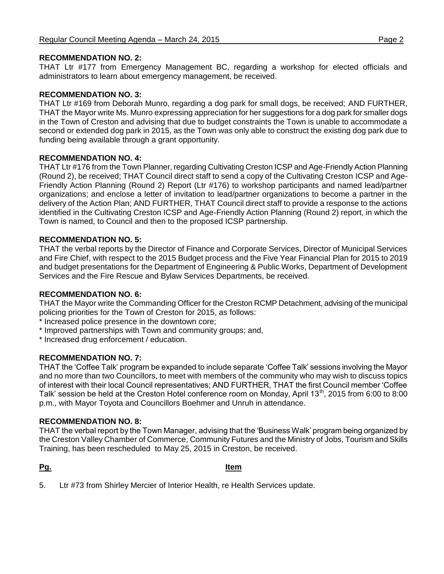## **RECOMMENDATION NO. 2:**

THAT Ltr #177 from Emergency Management BC, regarding a workshop for elected officials and administrators to learn about emergency management, be received.

## **RECOMMENDATION NO. 3:**

THAT Ltr #169 from Deborah Munro, regarding a dog park for small dogs, be received; AND FURTHER, THAT the Mayor write Ms. Munro expressing appreciation for her suggestions for a dog park for smaller dogs in the Town of Creston and advising that due to budget constraints the Town is unable to accommodate a second or extended dog park in 2015, as the Town was only able to construct the existing dog park due to funding being available through a grant opportunity.

### **RECOMMENDATION NO. 4:**

THAT Ltr #176 from the Town Planner, regarding Cultivating Creston ICSP and Age-Friendly Action Planning (Round 2), be received; THAT Council direct staff to send a copy of the Cultivating Creston ICSP and Age-Friendly Action Planning (Round 2) Report (Ltr #176) to workshop participants and named lead/partner organizations; and enclose a letter of invitation to lead/partner organizations to become a partner in the delivery of the Action Plan; AND FURTHER, THAT Council direct staff to provide a response to the actions identified in the Cultivating Creston ICSP and Age-Friendly Action Planning (Round 2) report, in which the Town is named, to Council and then to the proposed ICSP partnership.

# **RECOMMENDATION NO. 5:**

THAT the verbal reports by the Director of Finance and Corporate Services, Director of Municipal Services and Fire Chief, with respect to the 2015 Budget process and the Five Year Financial Plan for 2015 to 2019 and budget presentations for the Department of Engineering & Public Works, Department of Development Services and the Fire Rescue and Bylaw Services Departments, be received.

### **RECOMMENDATION NO. 6:**

THAT the Mayor write the Commanding Officer for the Creston RCMP Detachment, advising of the municipal policing priorities for the Town of Creston for 2015, as follows:

- \* Increased police presence in the downtown core;
- \* Improved partnerships with Town and community groups; and,
- \* Increased drug enforcement / education.

### **RECOMMENDATION NO. 7:**

THAT the 'Coffee Talk' program be expanded to include separate 'Coffee Talk' sessions involving the Mayor and no more than two Councillors, to meet with members of the community who may wish to discuss topics of interest with their local Council representatives; AND FURTHER, THAT the first Council member 'Coffee Talk' session be held at the Creston Hotel conference room on Monday, April 13<sup>th</sup>, 2015 from 6:00 to 8:00 p.m., with Mayor Toyota and Councillors Boehmer and Unruh in attendance.

### **RECOMMENDATION NO. 8:**

THAT the verbal report by the Town Manager, advising that the 'Business Walk' program being organized by the Creston Valley Chamber of Commerce, Community Futures and the Ministry of Jobs, Tourism and Skills Training, has been rescheduled to May 25, 2015 in Creston, be received.

**Pg. Item**

5. Ltr #73 from Shirley Mercier of Interior Health, re Health Services update.